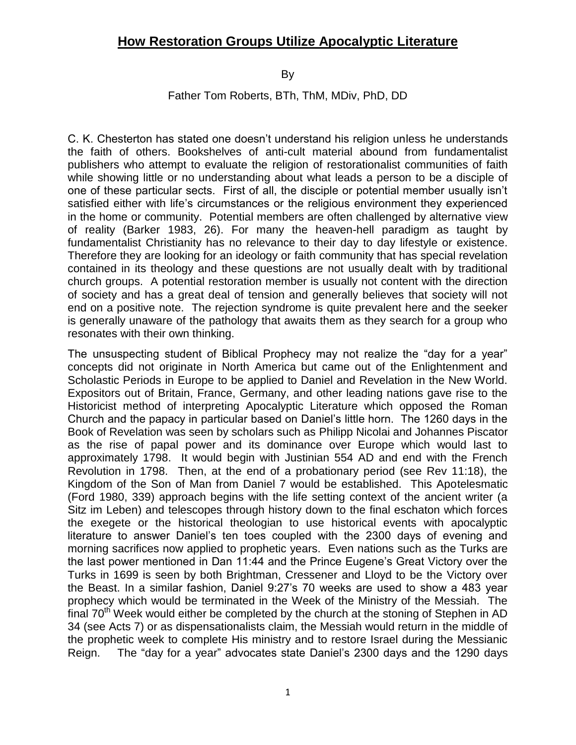By

Father Tom Roberts, BTh, ThM, MDiv, PhD, DD

C. K. Chesterton has stated one doesn't understand his religion unless he understands the faith of others. Bookshelves of anti-cult material abound from fundamentalist publishers who attempt to evaluate the religion of restorationalist communities of faith while showing little or no understanding about what leads a person to be a disciple of one of these particular sects. First of all, the disciple or potential member usually isn't satisfied either with life's circumstances or the religious environment they experienced in the home or community. Potential members are often challenged by alternative view of reality (Barker 1983, 26). For many the heaven-hell paradigm as taught by fundamentalist Christianity has no relevance to their day to day lifestyle or existence. Therefore they are looking for an ideology or faith community that has special revelation contained in its theology and these questions are not usually dealt with by traditional church groups. A potential restoration member is usually not content with the direction of society and has a great deal of tension and generally believes that society will not end on a positive note. The rejection syndrome is quite prevalent here and the seeker is generally unaware of the pathology that awaits them as they search for a group who resonates with their own thinking.

The unsuspecting student of Biblical Prophecy may not realize the "day for a year" concepts did not originate in North America but came out of the Enlightenment and Scholastic Periods in Europe to be applied to Daniel and Revelation in the New World. Expositors out of Britain, France, Germany, and other leading nations gave rise to the Historicist method of interpreting Apocalyptic Literature which opposed the Roman Church and the papacy in particular based on Daniel's little horn. The 1260 days in the Book of Revelation was seen by scholars such as Philipp Nicolai and Johannes Piscator as the rise of papal power and its dominance over Europe which would last to approximately 1798. It would begin with Justinian 554 AD and end with the French Revolution in 1798. Then, at the end of a probationary period (see Rev 11:18), the Kingdom of the Son of Man from Daniel 7 would be established. This Apotelesmatic (Ford 1980, 339) approach begins with the life setting context of the ancient writer (a Sitz im Leben) and telescopes through history down to the final eschaton which forces the exegete or the historical theologian to use historical events with apocalyptic literature to answer Daniel's ten toes coupled with the 2300 days of evening and morning sacrifices now applied to prophetic years. Even nations such as the Turks are the last power mentioned in Dan 11:44 and the Prince Eugene's Great Victory over the Turks in 1699 is seen by both Brightman, Cressener and Lloyd to be the Victory over the Beast. In a similar fashion, Daniel 9:27's 70 weeks are used to show a 483 year prophecy which would be terminated in the Week of the Ministry of the Messiah. The final  $70<sup>th</sup>$  Week would either be completed by the church at the stoning of Stephen in AD 34 (see Acts 7) or as dispensationalists claim, the Messiah would return in the middle of the prophetic week to complete His ministry and to restore Israel during the Messianic Reign. The "day for a year" advocates state Daniel's 2300 days and the 1290 days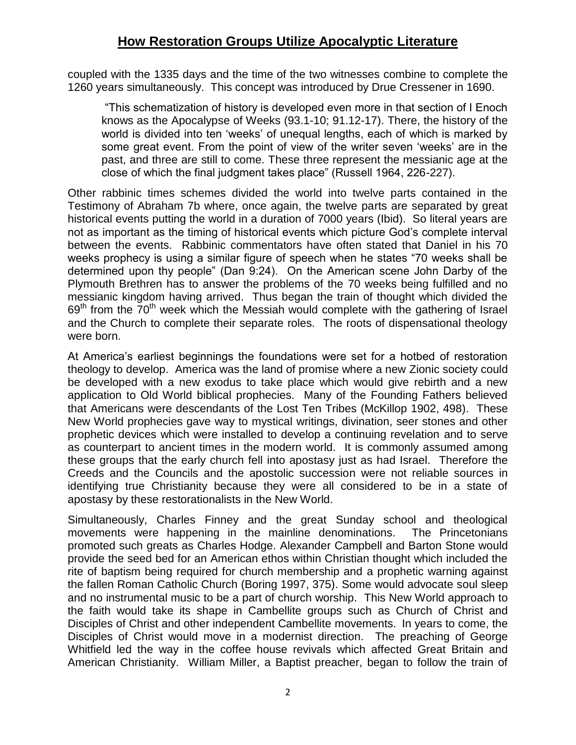coupled with the 1335 days and the time of the two witnesses combine to complete the 1260 years simultaneously. This concept was introduced by Drue Cressener in 1690.

"This schematization of history is developed even more in that section of I Enoch knows as the Apocalypse of Weeks (93.1-10; 91.12-17). There, the history of the world is divided into ten 'weeks' of unequal lengths, each of which is marked by some great event. From the point of view of the writer seven 'weeks' are in the past, and three are still to come. These three represent the messianic age at the close of which the final judgment takes place" (Russell 1964, 226-227).

Other rabbinic times schemes divided the world into twelve parts contained in the Testimony of Abraham 7b where, once again, the twelve parts are separated by great historical events putting the world in a duration of 7000 years (Ibid). So literal years are not as important as the timing of historical events which picture God's complete interval between the events. Rabbinic commentators have often stated that Daniel in his 70 weeks prophecy is using a similar figure of speech when he states "70 weeks shall be determined upon thy people" (Dan 9:24). On the American scene John Darby of the Plymouth Brethren has to answer the problems of the 70 weeks being fulfilled and no messianic kingdom having arrived. Thus began the train of thought which divided the  $69<sup>th</sup>$  from the 70<sup>th</sup> week which the Messiah would complete with the gathering of Israel and the Church to complete their separate roles. The roots of dispensational theology were born.

At America's earliest beginnings the foundations were set for a hotbed of restoration theology to develop. America was the land of promise where a new Zionic society could be developed with a new exodus to take place which would give rebirth and a new application to Old World biblical prophecies. Many of the Founding Fathers believed that Americans were descendants of the Lost Ten Tribes (McKillop 1902, 498). These New World prophecies gave way to mystical writings, divination, seer stones and other prophetic devices which were installed to develop a continuing revelation and to serve as counterpart to ancient times in the modern world. It is commonly assumed among these groups that the early church fell into apostasy just as had Israel. Therefore the Creeds and the Councils and the apostolic succession were not reliable sources in identifying true Christianity because they were all considered to be in a state of apostasy by these restorationalists in the New World.

Simultaneously, Charles Finney and the great Sunday school and theological movements were happening in the mainline denominations. The Princetonians promoted such greats as Charles Hodge. Alexander Campbell and Barton Stone would provide the seed bed for an American ethos within Christian thought which included the rite of baptism being required for church membership and a prophetic warning against the fallen Roman Catholic Church (Boring 1997, 375). Some would advocate soul sleep and no instrumental music to be a part of church worship. This New World approach to the faith would take its shape in Cambellite groups such as Church of Christ and Disciples of Christ and other independent Cambellite movements. In years to come, the Disciples of Christ would move in a modernist direction. The preaching of George Whitfield led the way in the coffee house revivals which affected Great Britain and American Christianity. William Miller, a Baptist preacher, began to follow the train of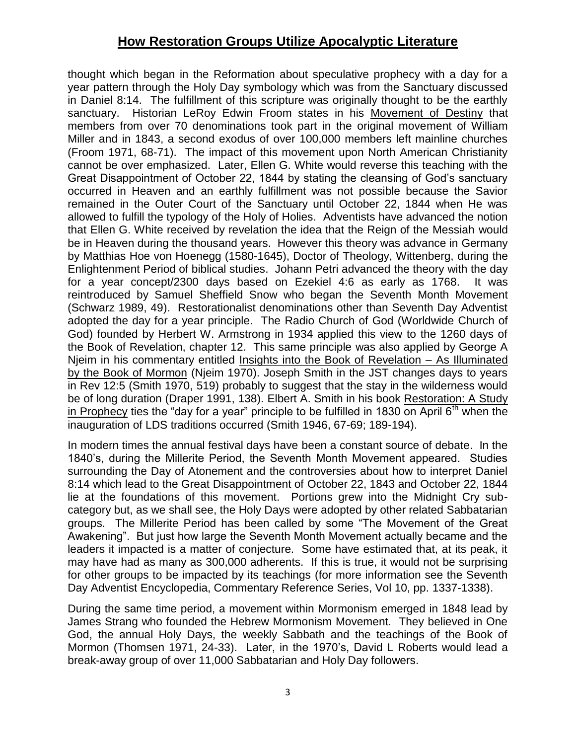thought which began in the Reformation about speculative prophecy with a day for a year pattern through the Holy Day symbology which was from the Sanctuary discussed in Daniel 8:14. The fulfillment of this scripture was originally thought to be the earthly sanctuary. Historian LeRoy Edwin Froom states in his Movement of Destiny that members from over 70 denominations took part in the original movement of William Miller and in 1843, a second exodus of over 100,000 members left mainline churches (Froom 1971, 68-71). The impact of this movement upon North American Christianity cannot be over emphasized. Later, Ellen G. White would reverse this teaching with the Great Disappointment of October 22, 1844 by stating the cleansing of God's sanctuary occurred in Heaven and an earthly fulfillment was not possible because the Savior remained in the Outer Court of the Sanctuary until October 22, 1844 when He was allowed to fulfill the typology of the Holy of Holies. Adventists have advanced the notion that Ellen G. White received by revelation the idea that the Reign of the Messiah would be in Heaven during the thousand years. However this theory was advance in Germany by Matthias Hoe von Hoenegg (1580-1645), Doctor of Theology, Wittenberg, during the Enlightenment Period of biblical studies. Johann Petri advanced the theory with the day for a year concept/2300 days based on Ezekiel 4:6 as early as 1768. It was reintroduced by Samuel Sheffield Snow who began the Seventh Month Movement (Schwarz 1989, 49). Restorationalist denominations other than Seventh Day Adventist adopted the day for a year principle. The Radio Church of God (Worldwide Church of God) founded by Herbert W. Armstrong in 1934 applied this view to the 1260 days of the Book of Revelation, chapter 12. This same principle was also applied by George A Njeim in his commentary entitled Insights into the Book of Revelation – As Illuminated by the Book of Mormon (Njeim 1970). Joseph Smith in the JST changes days to years in Rev 12:5 (Smith 1970, 519) probably to suggest that the stay in the wilderness would be of long duration (Draper 1991, 138). Elbert A. Smith in his book Restoration: A Study in Prophecy ties the "day for a year" principle to be fulfilled in 1830 on April  $6<sup>th</sup>$  when the inauguration of LDS traditions occurred (Smith 1946, 67-69; 189-194).

In modern times the annual festival days have been a constant source of debate. In the 1840's, during the Millerite Period, the Seventh Month Movement appeared. Studies surrounding the Day of Atonement and the controversies about how to interpret Daniel 8:14 which lead to the Great Disappointment of October 22, 1843 and October 22, 1844 lie at the foundations of this movement. Portions grew into the Midnight Cry subcategory but, as we shall see, the Holy Days were adopted by other related Sabbatarian groups. The Millerite Period has been called by some "The Movement of the Great Awakening". But just how large the Seventh Month Movement actually became and the leaders it impacted is a matter of conjecture. Some have estimated that, at its peak, it may have had as many as 300,000 adherents. If this is true, it would not be surprising for other groups to be impacted by its teachings (for more information see the Seventh Day Adventist Encyclopedia, Commentary Reference Series, Vol 10, pp. 1337-1338).

During the same time period, a movement within Mormonism emerged in 1848 lead by James Strang who founded the Hebrew Mormonism Movement. They believed in One God, the annual Holy Days, the weekly Sabbath and the teachings of the Book of Mormon (Thomsen 1971, 24-33). Later, in the 1970's, David L Roberts would lead a break-away group of over 11,000 Sabbatarian and Holy Day followers.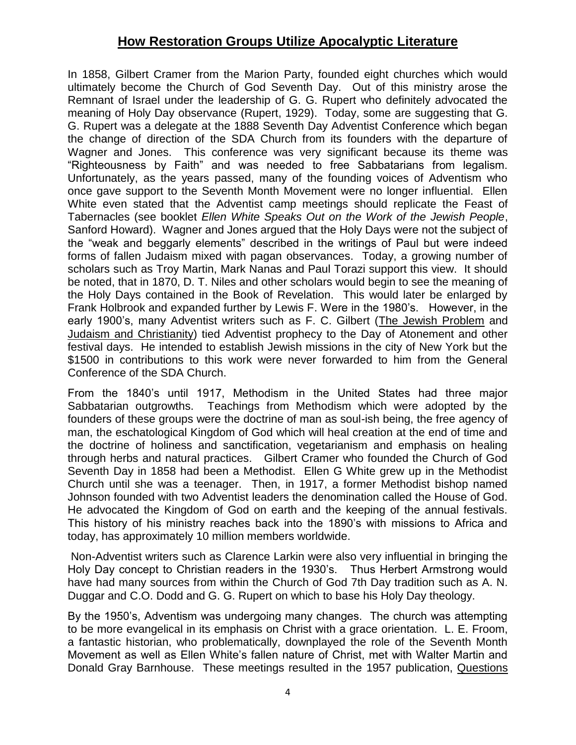In 1858, Gilbert Cramer from the Marion Party, founded eight churches which would ultimately become the Church of God Seventh Day. Out of this ministry arose the Remnant of Israel under the leadership of G. G. Rupert who definitely advocated the meaning of Holy Day observance (Rupert, 1929). Today, some are suggesting that G. G. Rupert was a delegate at the 1888 Seventh Day Adventist Conference which began the change of direction of the SDA Church from its founders with the departure of Wagner and Jones. This conference was very significant because its theme was "Righteousness by Faith" and was needed to free Sabbatarians from legalism. Unfortunately, as the years passed, many of the founding voices of Adventism who once gave support to the Seventh Month Movement were no longer influential. Ellen White even stated that the Adventist camp meetings should replicate the Feast of Tabernacles (see booklet *Ellen White Speaks Out on the Work of the Jewish People*, Sanford Howard). Wagner and Jones argued that the Holy Days were not the subject of the "weak and beggarly elements" described in the writings of Paul but were indeed forms of fallen Judaism mixed with pagan observances. Today, a growing number of scholars such as Troy Martin, Mark Nanas and Paul Torazi support this view. It should be noted, that in 1870, D. T. Niles and other scholars would begin to see the meaning of the Holy Days contained in the Book of Revelation. This would later be enlarged by Frank Holbrook and expanded further by Lewis F. Were in the 1980's. However, in the early 1900's, many Adventist writers such as F. C. Gilbert (The Jewish Problem and Judaism and Christianity) tied Adventist prophecy to the Day of Atonement and other festival days. He intended to establish Jewish missions in the city of New York but the \$1500 in contributions to this work were never forwarded to him from the General Conference of the SDA Church.

From the 1840's until 1917, Methodism in the United States had three major Sabbatarian outgrowths. Teachings from Methodism which were adopted by the founders of these groups were the doctrine of man as soul-ish being, the free agency of man, the eschatological Kingdom of God which will heal creation at the end of time and the doctrine of holiness and sanctification, vegetarianism and emphasis on healing through herbs and natural practices. Gilbert Cramer who founded the Church of God Seventh Day in 1858 had been a Methodist. Ellen G White grew up in the Methodist Church until she was a teenager. Then, in 1917, a former Methodist bishop named Johnson founded with two Adventist leaders the denomination called the House of God. He advocated the Kingdom of God on earth and the keeping of the annual festivals. This history of his ministry reaches back into the 1890's with missions to Africa and today, has approximately 10 million members worldwide.

Non-Adventist writers such as Clarence Larkin were also very influential in bringing the Holy Day concept to Christian readers in the 1930's. Thus Herbert Armstrong would have had many sources from within the Church of God 7th Day tradition such as A. N. Duggar and C.O. Dodd and G. G. Rupert on which to base his Holy Day theology.

By the 1950's, Adventism was undergoing many changes. The church was attempting to be more evangelical in its emphasis on Christ with a grace orientation. L. E. Froom, a fantastic historian, who problematically, downplayed the role of the Seventh Month Movement as well as Ellen White's fallen nature of Christ, met with Walter Martin and Donald Gray Barnhouse. These meetings resulted in the 1957 publication, Questions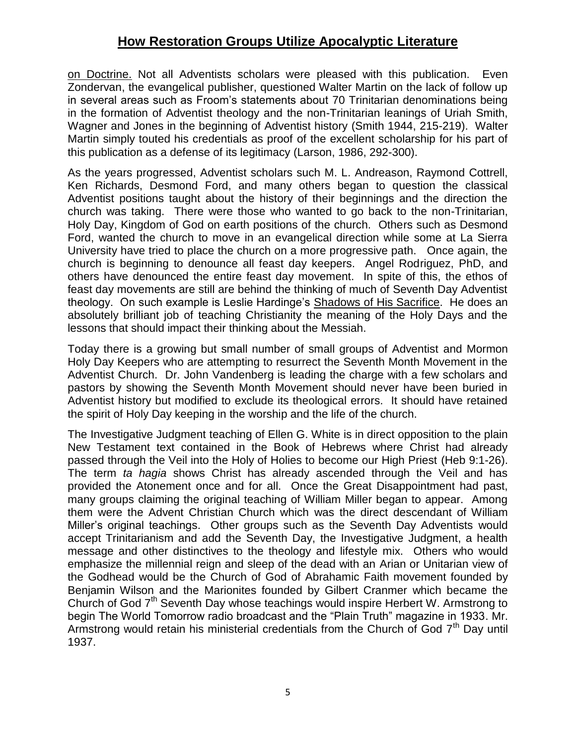on Doctrine. Not all Adventists scholars were pleased with this publication. Even Zondervan, the evangelical publisher, questioned Walter Martin on the lack of follow up in several areas such as Froom's statements about 70 Trinitarian denominations being in the formation of Adventist theology and the non-Trinitarian leanings of Uriah Smith, Wagner and Jones in the beginning of Adventist history (Smith 1944, 215-219). Walter Martin simply touted his credentials as proof of the excellent scholarship for his part of this publication as a defense of its legitimacy (Larson, 1986, 292-300).

As the years progressed, Adventist scholars such M. L. Andreason, Raymond Cottrell, Ken Richards, Desmond Ford, and many others began to question the classical Adventist positions taught about the history of their beginnings and the direction the church was taking. There were those who wanted to go back to the non-Trinitarian, Holy Day, Kingdom of God on earth positions of the church. Others such as Desmond Ford, wanted the church to move in an evangelical direction while some at La Sierra University have tried to place the church on a more progressive path. Once again, the church is beginning to denounce all feast day keepers. Angel Rodriguez, PhD, and others have denounced the entire feast day movement. In spite of this, the ethos of feast day movements are still are behind the thinking of much of Seventh Day Adventist theology. On such example is Leslie Hardinge's Shadows of His Sacrifice. He does an absolutely brilliant job of teaching Christianity the meaning of the Holy Days and the lessons that should impact their thinking about the Messiah.

Today there is a growing but small number of small groups of Adventist and Mormon Holy Day Keepers who are attempting to resurrect the Seventh Month Movement in the Adventist Church. Dr. John Vandenberg is leading the charge with a few scholars and pastors by showing the Seventh Month Movement should never have been buried in Adventist history but modified to exclude its theological errors. It should have retained the spirit of Holy Day keeping in the worship and the life of the church.

The Investigative Judgment teaching of Ellen G. White is in direct opposition to the plain New Testament text contained in the Book of Hebrews where Christ had already passed through the Veil into the Holy of Holies to become our High Priest (Heb 9:1-26). The term *ta hagia* shows Christ has already ascended through the Veil and has provided the Atonement once and for all. Once the Great Disappointment had past, many groups claiming the original teaching of William Miller began to appear. Among them were the Advent Christian Church which was the direct descendant of William Miller's original teachings. Other groups such as the Seventh Day Adventists would accept Trinitarianism and add the Seventh Day, the Investigative Judgment, a health message and other distinctives to the theology and lifestyle mix. Others who would emphasize the millennial reign and sleep of the dead with an Arian or Unitarian view of the Godhead would be the Church of God of Abrahamic Faith movement founded by Benjamin Wilson and the Marionites founded by Gilbert Cranmer which became the Church of God  $7<sup>th</sup>$  Seventh Day whose teachings would inspire Herbert W. Armstrong to begin The World Tomorrow radio broadcast and the "Plain Truth" magazine in 1933. Mr. Armstrong would retain his ministerial credentials from the Church of God  $7<sup>th</sup>$  Day until 1937.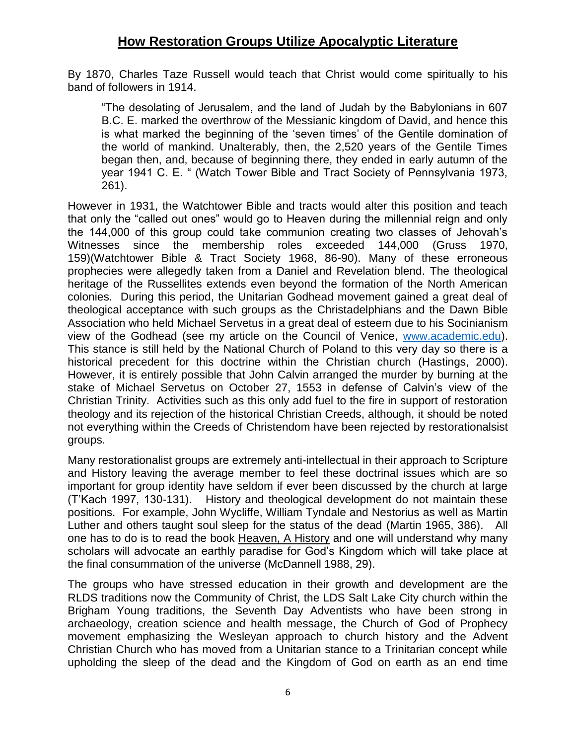By 1870, Charles Taze Russell would teach that Christ would come spiritually to his band of followers in 1914.

"The desolating of Jerusalem, and the land of Judah by the Babylonians in 607 B.C. E. marked the overthrow of the Messianic kingdom of David, and hence this is what marked the beginning of the 'seven times' of the Gentile domination of the world of mankind. Unalterably, then, the 2,520 years of the Gentile Times began then, and, because of beginning there, they ended in early autumn of the year 1941 C. E. " (Watch Tower Bible and Tract Society of Pennsylvania 1973, 261).

However in 1931, the Watchtower Bible and tracts would alter this position and teach that only the "called out ones" would go to Heaven during the millennial reign and only the 144,000 of this group could take communion creating two classes of Jehovah's Witnesses since the membership roles exceeded 144,000 (Gruss 1970, 159)(Watchtower Bible & Tract Society 1968, 86-90). Many of these erroneous prophecies were allegedly taken from a Daniel and Revelation blend. The theological heritage of the Russellites extends even beyond the formation of the North American colonies. During this period, the Unitarian Godhead movement gained a great deal of theological acceptance with such groups as the Christadelphians and the Dawn Bible Association who held Michael Servetus in a great deal of esteem due to his Socinianism view of the Godhead (see my article on the Council of Venice, [www.academic.edu\)](http://www.academic.edu/). This stance is still held by the National Church of Poland to this very day so there is a historical precedent for this doctrine within the Christian church (Hastings, 2000). However, it is entirely possible that John Calvin arranged the murder by burning at the stake of Michael Servetus on October 27, 1553 in defense of Calvin's view of the Christian Trinity. Activities such as this only add fuel to the fire in support of restoration theology and its rejection of the historical Christian Creeds, although, it should be noted not everything within the Creeds of Christendom have been rejected by restorationalsist groups.

Many restorationalist groups are extremely anti-intellectual in their approach to Scripture and History leaving the average member to feel these doctrinal issues which are so important for group identity have seldom if ever been discussed by the church at large (T'Kach 1997, 130-131). History and theological development do not maintain these positions. For example, John Wycliffe, William Tyndale and Nestorius as well as Martin Luther and others taught soul sleep for the status of the dead (Martin 1965, 386). All one has to do is to read the book Heaven, A History and one will understand why many scholars will advocate an earthly paradise for God's Kingdom which will take place at the final consummation of the universe (McDannell 1988, 29).

The groups who have stressed education in their growth and development are the RLDS traditions now the Community of Christ, the LDS Salt Lake City church within the Brigham Young traditions, the Seventh Day Adventists who have been strong in archaeology, creation science and health message, the Church of God of Prophecy movement emphasizing the Wesleyan approach to church history and the Advent Christian Church who has moved from a Unitarian stance to a Trinitarian concept while upholding the sleep of the dead and the Kingdom of God on earth as an end time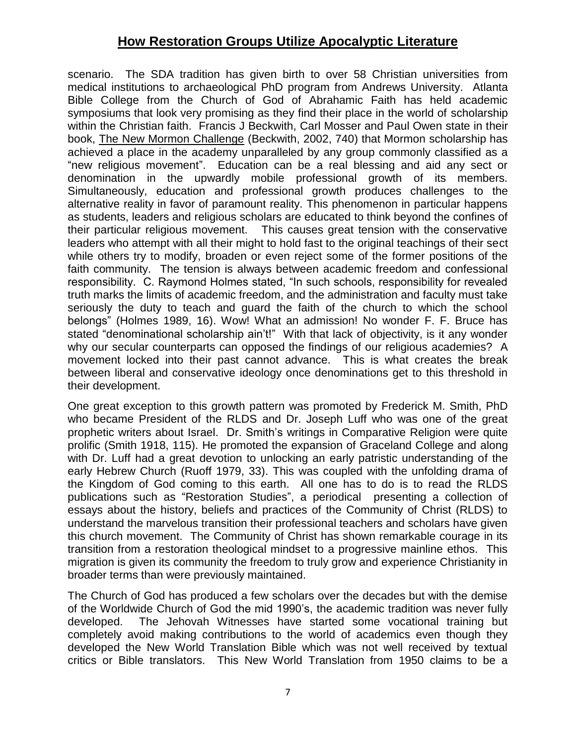scenario. The SDA tradition has given birth to over 58 Christian universities from medical institutions to archaeological PhD program from Andrews University. Atlanta Bible College from the Church of God of Abrahamic Faith has held academic symposiums that look very promising as they find their place in the world of scholarship within the Christian faith. Francis J Beckwith, Carl Mosser and Paul Owen state in their book, The New Mormon Challenge (Beckwith, 2002, 740) that Mormon scholarship has achieved a place in the academy unparalleled by any group commonly classified as a "new religious movement". Education can be a real blessing and aid any sect or denomination in the upwardly mobile professional growth of its members. Simultaneously, education and professional growth produces challenges to the alternative reality in favor of paramount reality. This phenomenon in particular happens as students, leaders and religious scholars are educated to think beyond the confines of their particular religious movement. This causes great tension with the conservative leaders who attempt with all their might to hold fast to the original teachings of their sect while others try to modify, broaden or even reject some of the former positions of the faith community. The tension is always between academic freedom and confessional responsibility. C. Raymond Holmes stated, "In such schools, responsibility for revealed truth marks the limits of academic freedom, and the administration and faculty must take seriously the duty to teach and guard the faith of the church to which the school belongs" (Holmes 1989, 16). Wow! What an admission! No wonder F. F. Bruce has stated "denominational scholarship ain't!" With that lack of objectivity, is it any wonder why our secular counterparts can opposed the findings of our religious academies? A movement locked into their past cannot advance. This is what creates the break between liberal and conservative ideology once denominations get to this threshold in their development.

One great exception to this growth pattern was promoted by Frederick M. Smith, PhD who became President of the RLDS and Dr. Joseph Luff who was one of the great prophetic writers about Israel. Dr. Smith's writings in Comparative Religion were quite prolific (Smith 1918, 115). He promoted the expansion of Graceland College and along with Dr. Luff had a great devotion to unlocking an early patristic understanding of the early Hebrew Church (Ruoff 1979, 33). This was coupled with the unfolding drama of the Kingdom of God coming to this earth. All one has to do is to read the RLDS publications such as "Restoration Studies", a periodical presenting a collection of essays about the history, beliefs and practices of the Community of Christ (RLDS) to understand the marvelous transition their professional teachers and scholars have given this church movement. The Community of Christ has shown remarkable courage in its transition from a restoration theological mindset to a progressive mainline ethos. This migration is given its community the freedom to truly grow and experience Christianity in broader terms than were previously maintained.

The Church of God has produced a few scholars over the decades but with the demise of the Worldwide Church of God the mid 1990's, the academic tradition was never fully developed. The Jehovah Witnesses have started some vocational training but completely avoid making contributions to the world of academics even though they developed the New World Translation Bible which was not well received by textual critics or Bible translators. This New World Translation from 1950 claims to be a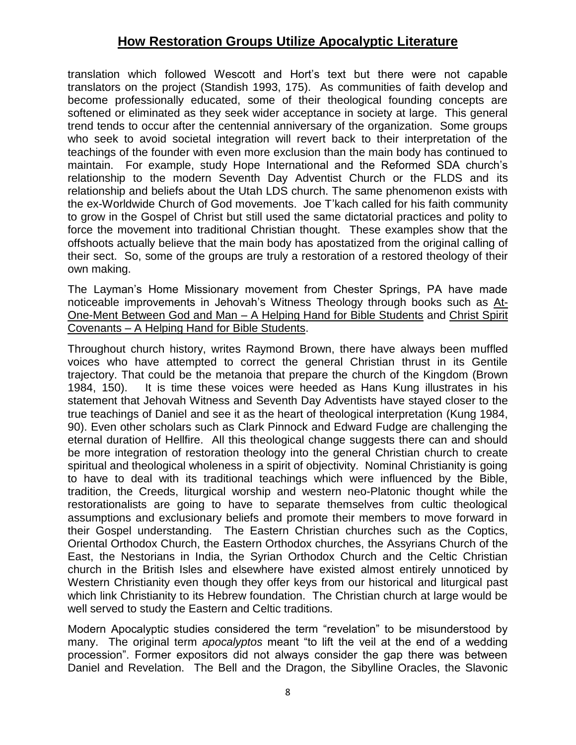translation which followed Wescott and Hort's text but there were not capable translators on the project (Standish 1993, 175). As communities of faith develop and become professionally educated, some of their theological founding concepts are softened or eliminated as they seek wider acceptance in society at large. This general trend tends to occur after the centennial anniversary of the organization. Some groups who seek to avoid societal integration will revert back to their interpretation of the teachings of the founder with even more exclusion than the main body has continued to maintain. For example, study Hope International and the Reformed SDA church's relationship to the modern Seventh Day Adventist Church or the FLDS and its relationship and beliefs about the Utah LDS church. The same phenomenon exists with the ex-Worldwide Church of God movements. Joe T'kach called for his faith community to grow in the Gospel of Christ but still used the same dictatorial practices and polity to force the movement into traditional Christian thought. These examples show that the offshoots actually believe that the main body has apostatized from the original calling of their sect. So, some of the groups are truly a restoration of a restored theology of their own making.

The Layman's Home Missionary movement from Chester Springs, PA have made noticeable improvements in Jehovah's Witness Theology through books such as At-One-Ment Between God and Man – A Helping Hand for Bible Students and Christ Spirit Covenants – A Helping Hand for Bible Students.

Throughout church history, writes Raymond Brown, there have always been muffled voices who have attempted to correct the general Christian thrust in its Gentile trajectory. That could be the metanoia that prepare the church of the Kingdom (Brown 1984, 150). It is time these voices were heeded as Hans Kung illustrates in his statement that Jehovah Witness and Seventh Day Adventists have stayed closer to the true teachings of Daniel and see it as the heart of theological interpretation (Kung 1984, 90). Even other scholars such as Clark Pinnock and Edward Fudge are challenging the eternal duration of Hellfire. All this theological change suggests there can and should be more integration of restoration theology into the general Christian church to create spiritual and theological wholeness in a spirit of objectivity. Nominal Christianity is going to have to deal with its traditional teachings which were influenced by the Bible, tradition, the Creeds, liturgical worship and western neo-Platonic thought while the restorationalists are going to have to separate themselves from cultic theological assumptions and exclusionary beliefs and promote their members to move forward in their Gospel understanding. The Eastern Christian churches such as the Coptics, Oriental Orthodox Church, the Eastern Orthodox churches, the Assyrians Church of the East, the Nestorians in India, the Syrian Orthodox Church and the Celtic Christian church in the British Isles and elsewhere have existed almost entirely unnoticed by Western Christianity even though they offer keys from our historical and liturgical past which link Christianity to its Hebrew foundation. The Christian church at large would be well served to study the Eastern and Celtic traditions.

Modern Apocalyptic studies considered the term "revelation" to be misunderstood by many. The original term *apocalyptos* meant "to lift the veil at the end of a wedding procession". Former expositors did not always consider the gap there was between Daniel and Revelation. The Bell and the Dragon, the Sibylline Oracles, the Slavonic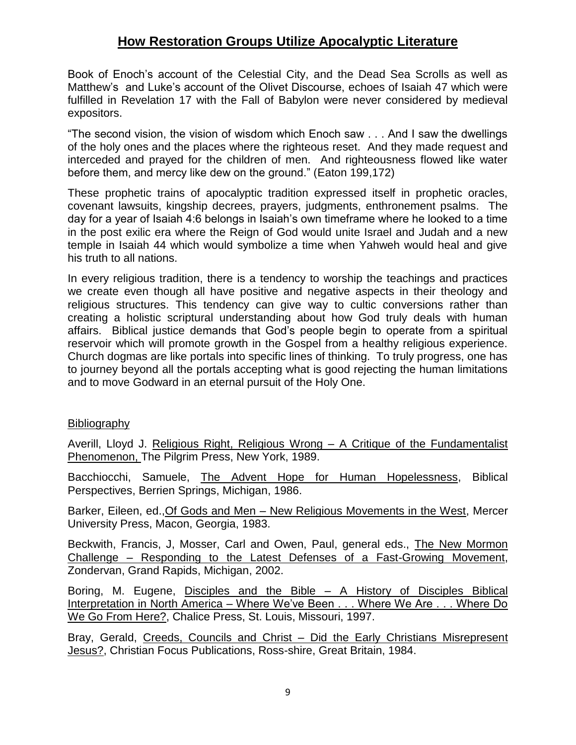Book of Enoch's account of the Celestial City, and the Dead Sea Scrolls as well as Matthew's and Luke's account of the Olivet Discourse, echoes of Isaiah 47 which were fulfilled in Revelation 17 with the Fall of Babylon were never considered by medieval expositors.

"The second vision, the vision of wisdom which Enoch saw . . . And I saw the dwellings of the holy ones and the places where the righteous reset. And they made request and interceded and prayed for the children of men. And righteousness flowed like water before them, and mercy like dew on the ground." (Eaton 199,172)

These prophetic trains of apocalyptic tradition expressed itself in prophetic oracles, covenant lawsuits, kingship decrees, prayers, judgments, enthronement psalms. The day for a year of Isaiah 4:6 belongs in Isaiah's own timeframe where he looked to a time in the post exilic era where the Reign of God would unite Israel and Judah and a new temple in Isaiah 44 which would symbolize a time when Yahweh would heal and give his truth to all nations.

In every religious tradition, there is a tendency to worship the teachings and practices we create even though all have positive and negative aspects in their theology and religious structures. This tendency can give way to cultic conversions rather than creating a holistic scriptural understanding about how God truly deals with human affairs. Biblical justice demands that God's people begin to operate from a spiritual reservoir which will promote growth in the Gospel from a healthy religious experience. Church dogmas are like portals into specific lines of thinking. To truly progress, one has to journey beyond all the portals accepting what is good rejecting the human limitations and to move Godward in an eternal pursuit of the Holy One.

#### Bibliography

Averill, Lloyd J. Religious Right, Religious Wrong – A Critique of the Fundamentalist Phenomenon, The Pilgrim Press, New York, 1989.

Bacchiocchi, Samuele, The Advent Hope for Human Hopelessness, Biblical Perspectives, Berrien Springs, Michigan, 1986.

Barker, Eileen, ed.,Of Gods and Men – New Religious Movements in the West, Mercer University Press, Macon, Georgia, 1983.

Beckwith, Francis, J, Mosser, Carl and Owen, Paul, general eds., The New Mormon Challenge – Responding to the Latest Defenses of a Fast-Growing Movement, Zondervan, Grand Rapids, Michigan, 2002.

Boring, M. Eugene, Disciples and the Bible – A History of Disciples Biblical Interpretation in North America – Where We've Been . . . Where We Are . . . Where Do We Go From Here?, Chalice Press, St. Louis, Missouri, 1997.

Bray, Gerald, Creeds, Councils and Christ – Did the Early Christians Misrepresent Jesus?, Christian Focus Publications, Ross-shire, Great Britain, 1984.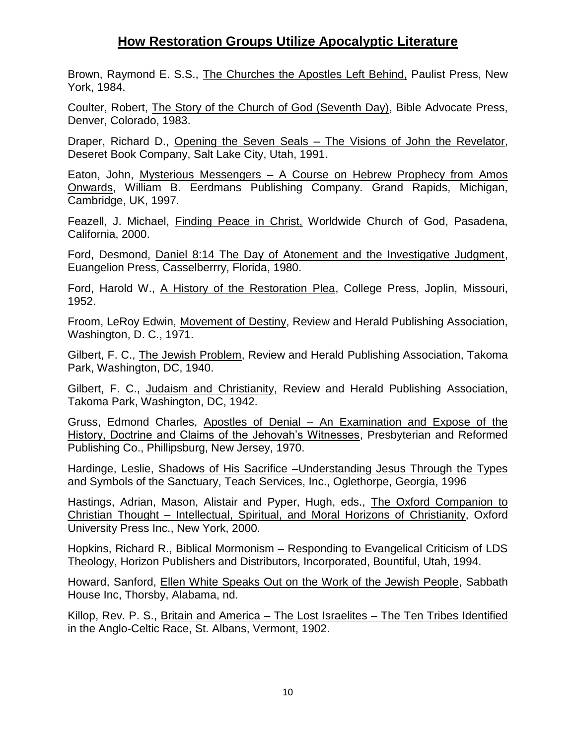Brown, Raymond E. S.S., The Churches the Apostles Left Behind, Paulist Press, New York, 1984.

Coulter, Robert, The Story of the Church of God (Seventh Day), Bible Advocate Press, Denver, Colorado, 1983.

Draper, Richard D., Opening the Seven Seals – The Visions of John the Revelator, Deseret Book Company, Salt Lake City, Utah, 1991.

Eaton, John, Mysterious Messengers – A Course on Hebrew Prophecy from Amos Onwards, William B. Eerdmans Publishing Company. Grand Rapids, Michigan, Cambridge, UK, 1997.

Feazell, J. Michael, Finding Peace in Christ, Worldwide Church of God, Pasadena, California, 2000.

Ford, Desmond, Daniel 8:14 The Day of Atonement and the Investigative Judgment, Euangelion Press, Casselberrry, Florida, 1980.

Ford, Harold W., A History of the Restoration Plea, College Press, Joplin, Missouri, 1952.

Froom, LeRoy Edwin, Movement of Destiny, Review and Herald Publishing Association, Washington, D. C., 1971.

Gilbert, F. C., The Jewish Problem, Review and Herald Publishing Association, Takoma Park, Washington, DC, 1940.

Gilbert, F. C., Judaism and Christianity, Review and Herald Publishing Association, Takoma Park, Washington, DC, 1942.

Gruss, Edmond Charles, Apostles of Denial – An Examination and Expose of the History, Doctrine and Claims of the Jehovah's Witnesses, Presbyterian and Reformed Publishing Co., Phillipsburg, New Jersey, 1970.

Hardinge, Leslie, Shadows of His Sacrifice –Understanding Jesus Through the Types and Symbols of the Sanctuary, Teach Services, Inc., Oglethorpe, Georgia, 1996

Hastings, Adrian, Mason, Alistair and Pyper, Hugh, eds., The Oxford Companion to Christian Thought – Intellectual, Spiritual, and Moral Horizons of Christianity, Oxford University Press Inc., New York, 2000.

Hopkins, Richard R., Biblical Mormonism – Responding to Evangelical Criticism of LDS Theology, Horizon Publishers and Distributors, Incorporated, Bountiful, Utah, 1994.

Howard, Sanford, Ellen White Speaks Out on the Work of the Jewish People, Sabbath House Inc, Thorsby, Alabama, nd.

Killop, Rev. P. S., Britain and America - The Lost Israelites - The Ten Tribes Identified in the Anglo-Celtic Race, St. Albans, Vermont, 1902.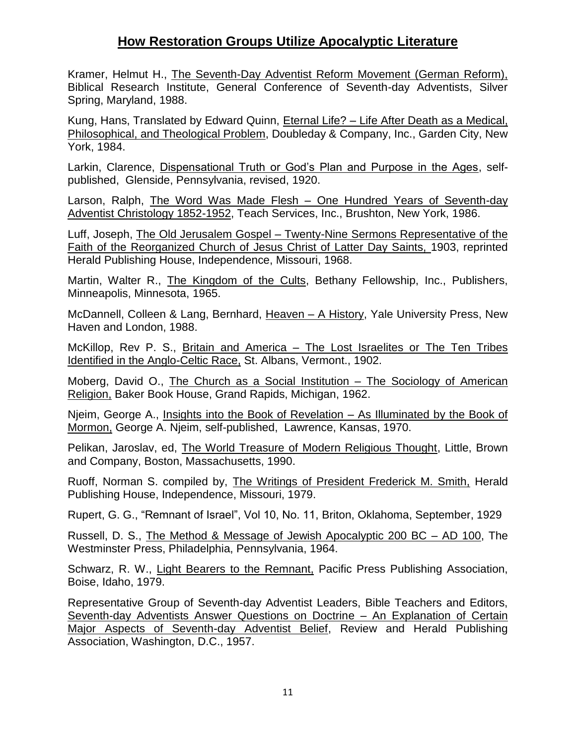Kramer, Helmut H., The Seventh-Day Adventist Reform Movement (German Reform), Biblical Research Institute, General Conference of Seventh-day Adventists, Silver Spring, Maryland, 1988.

Kung, Hans, Translated by Edward Quinn, Eternal Life? – Life After Death as a Medical, Philosophical, and Theological Problem, Doubleday & Company, Inc., Garden City, New York, 1984.

Larkin, Clarence, Dispensational Truth or God's Plan and Purpose in the Ages, selfpublished, Glenside, Pennsylvania, revised, 1920.

Larson, Ralph, The Word Was Made Flesh – One Hundred Years of Seventh-day Adventist Christology 1852-1952, Teach Services, Inc., Brushton, New York, 1986.

Luff, Joseph, The Old Jerusalem Gospel – Twenty-Nine Sermons Representative of the Faith of the Reorganized Church of Jesus Christ of Latter Day Saints, 1903, reprinted Herald Publishing House, Independence, Missouri, 1968.

Martin, Walter R., The Kingdom of the Cults, Bethany Fellowship, Inc., Publishers, Minneapolis, Minnesota, 1965.

McDannell, Colleen & Lang, Bernhard, Heaven – A History, Yale University Press, New Haven and London, 1988.

McKillop, Rev P. S., Britain and America – The Lost Israelites or The Ten Tribes Identified in the Anglo-Celtic Race, St. Albans, Vermont., 1902.

Moberg, David O., The Church as a Social Institution – The Sociology of American Religion, Baker Book House, Grand Rapids, Michigan, 1962.

Njeim, George A., Insights into the Book of Revelation – As Illuminated by the Book of Mormon, George A. Njeim, self-published, Lawrence, Kansas, 1970.

Pelikan, Jaroslav, ed, The World Treasure of Modern Religious Thought, Little, Brown and Company, Boston, Massachusetts, 1990.

Ruoff, Norman S. compiled by, The Writings of President Frederick M. Smith, Herald Publishing House, Independence, Missouri, 1979.

Rupert, G. G., "Remnant of Israel", Vol 10, No. 11, Briton, Oklahoma, September, 1929

Russell, D. S., The Method & Message of Jewish Apocalyptic 200 BC – AD 100, The Westminster Press, Philadelphia, Pennsylvania, 1964.

Schwarz, R. W., Light Bearers to the Remnant, Pacific Press Publishing Association, Boise, Idaho, 1979.

Representative Group of Seventh-day Adventist Leaders, Bible Teachers and Editors, Seventh-day Adventists Answer Questions on Doctrine – An Explanation of Certain Major Aspects of Seventh-day Adventist Belief, Review and Herald Publishing Association, Washington, D.C., 1957.